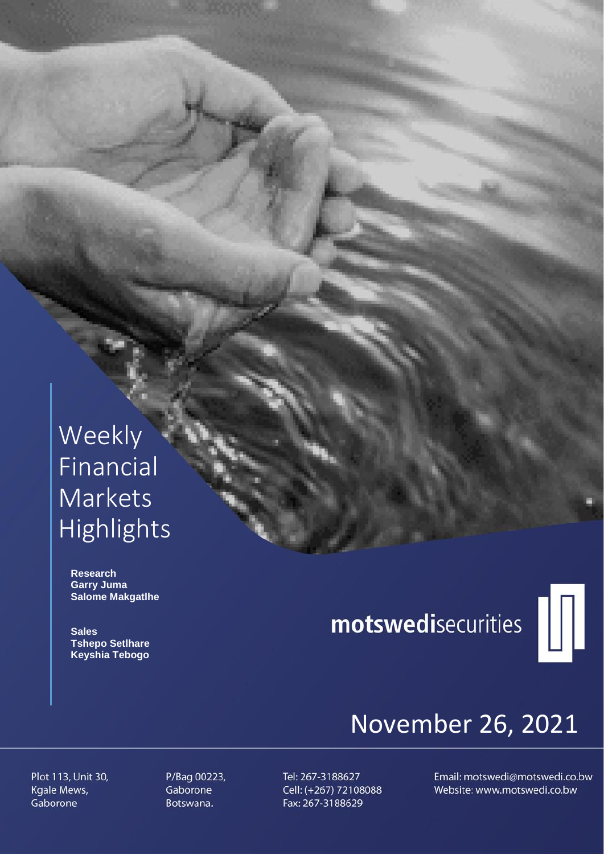# Weekly Financial Markets Highlights

 **Research Garry Juma Salome Makgatlhe**

 **Sales Tshepo Setlhare Keyshia Tebogo**

# motswedisecurities



# November 26, 2021

Plot 113, Unit 30, Kgale Mews, Gaborone

P/Bag 00223, Gaborone Botswana.

Tel: 267-3188627 Cell: (+267) 72108088 Fax: 267-3188629

Email: motswedi@motswedi.co.bw Website: www.motswedi.co.bw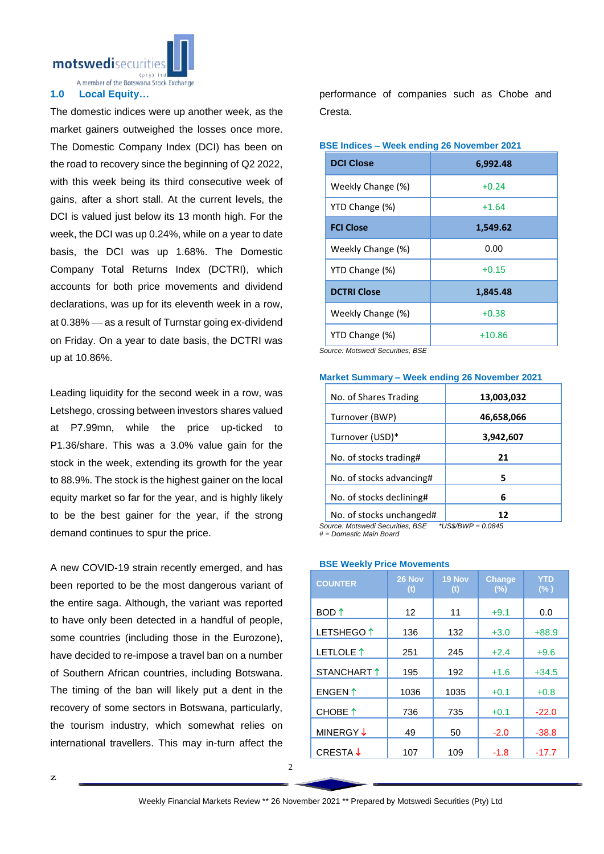motswedisecurit

A member of the Botswana Stock Exchange

## **1.0 Local Equity…**

The domestic indices were up another week, as the market gainers outweighed the losses once more. The Domestic Company Index (DCI) has been on the road to recovery since the beginning of Q2 2022, with this week being its third consecutive week of gains, after a short stall. At the current levels, the DCI is valued just below its 13 month high. For the week, the DCI was up 0.24%, while on a year to date basis, the DCI was up 1.68%. The Domestic Company Total Returns Index (DCTRI), which accounts for both price movements and dividend declarations, was up for its eleventh week in a row, at 0.38% – as a result of Turnstar going ex-dividend on Friday. On a year to date basis, the DCTRI was up at 10.86%.

Leading liquidity for the second week in a row, was Letshego, crossing between investors shares valued at P7.99mn, while the price up-ticked to P1.36/share. This was a 3.0% value gain for the stock in the week, extending its growth for the year to 88.9%. The stock is the highest gainer on the local equity market so far for the year, and is highly likely to be the best gainer for the year, if the strong demand continues to spur the price.

A new COVID-19 strain recently emerged, and has been reported to be the most dangerous variant of the entire saga. Although, the variant was reported to have only been detected in a handful of people, some countries (including those in the Eurozone), have decided to re-impose a travel ban on a number of Southern African countries, including Botswana. The timing of the ban will likely put a dent in the recovery of some sectors in Botswana, particularly, the tourism industry, which somewhat relies on international travellers. This may in-turn affect the performance of companies such as Chobe and Cresta.

| <b>DCI Close</b>   | 6,992.48 |
|--------------------|----------|
| Weekly Change (%)  | $+0.24$  |
| YTD Change (%)     | $+1.64$  |
| <b>FCI Close</b>   | 1,549.62 |
| Weekly Change (%)  | 0.00     |
| YTD Change (%)     | $+0.15$  |
| <b>DCTRI Close</b> | 1,845.48 |
| Weekly Change (%)  | $+0.38$  |
| YTD Change (%)     | $+10.86$ |

**BSE Indices – Week ending 26 November 2021**

*Source: Motswedi Securities, BSE*

| No. of Shares Trading    | 13,003,032 |
|--------------------------|------------|
| Turnover (BWP)           | 46,658,066 |
| Turnover (USD)*          | 3,942,607  |
| No. of stocks trading#   | 21         |
| No. of stocks advancing# | 5          |
| No. of stocks declining# | 6          |
| No. of stocks unchanged# |            |

### **Market Summary – Week ending 26 November 2021**

*Source: Motswedi Securities, BSE \*US\$/BWP = 0.0845 # = Domestic Main Board*

## **BSE Weekly Price Movements**

| <b>COUNTER</b>        | 26 Nov<br>(t) | 19 Nov<br>(t) | <b>Change</b><br>(%) | <b>YTD</b><br>$(\% )$ |
|-----------------------|---------------|---------------|----------------------|-----------------------|
| BOD ↑                 | 12            | 11            | $+9.1$               | 0.0                   |
| LETSHEGO <sup>1</sup> | 136           | 132           | $+3.0$               | $+88.9$               |
| LETLOLE <sup>1</sup>  | 251           | 245           | $+2.4$               | $+9.6$                |
| STANCHART 1           | 195           | 192           | $+1.6$               | $+34.5$               |
| ENGEN <sup>1</sup>    | 1036          | 1035          | $+0.1$               | $+0.8$                |
| CHOBE 1               | 736           | 735           | $+0.1$               | $-22.0$               |
| MINERGY ↓             | 49            | 50            | $-2.0$               | $-38.8$               |
| CRESTA ↓              | 107           | 109           | $-1.8$               | $-17.7$               |
|                       |               |               |                      |                       |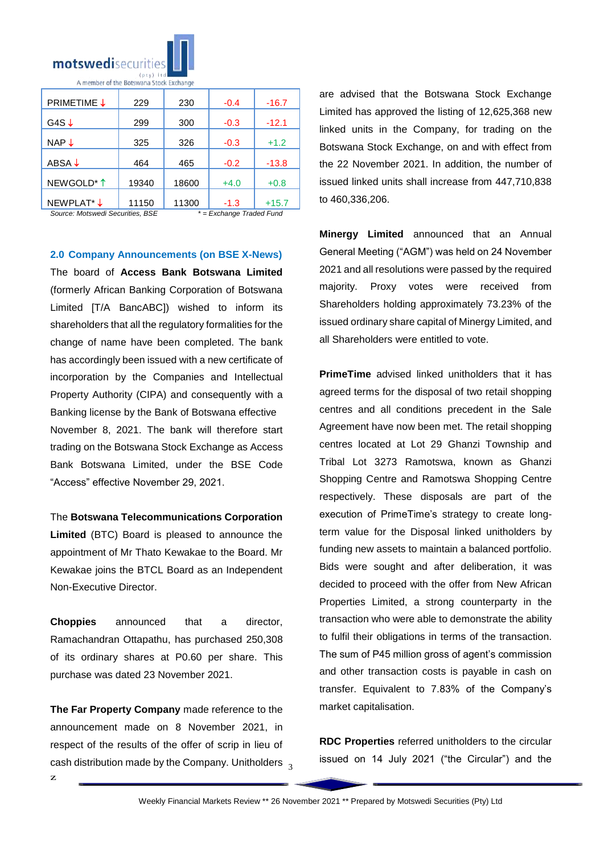

| <b>PRIMETIME ↓</b>     | 229   | 230   | $-0.4$ | $-16.7$ |
|------------------------|-------|-------|--------|---------|
| G4S $\downarrow$       | 299   | 300   | $-0.3$ | $-12.1$ |
| NAP $\downarrow$       | 325   | 326   | $-0.3$ | $+1.2$  |
| ABSA $\downarrow$      | 464   | 465   | $-0.2$ | $-13.8$ |
| NEWGOLD <sup>*</sup> 1 | 19340 | 18600 | $+4.0$ | $+0.8$  |
| NEWPLAT <sup>*</sup> ↓ | 11150 | 11300 | $-1.3$ | $+15.7$ |

*Source: Motswedi Securities, BSE \* = Exchange Traded Fund*

**2.0 Company Announcements (on BSE X-News)**

The board of **Access Bank Botswana Limited**  (formerly African Banking Corporation of Botswana Limited [T/A BancABC]) wished to inform its shareholders that all the regulatory formalities for the change of name have been completed. The bank has accordingly been issued with a new certificate of incorporation by the Companies and Intellectual Property Authority (CIPA) and consequently with a Banking license by the Bank of Botswana effective November 8, 2021. The bank will therefore start trading on the Botswana Stock Exchange as Access Bank Botswana Limited, under the BSE Code "Access" effective November 29, 2021.

The **Botswana Telecommunications Corporation Limited** (BTC) Board is pleased to announce the appointment of Mr Thato Kewakae to the Board. Mr Kewakae joins the BTCL Board as an Independent Non-Executive Director.

**Choppies** announced that a director, Ramachandran Ottapathu, has purchased 250,308 of its ordinary shares at P0.60 per share. This purchase was dated 23 November 2021.

cash distribution made by the Company. Unitholders  $\frac{1}{3}$ **The Far Property Company** made reference to the announcement made on 8 November 2021, in respect of the results of the offer of scrip in lieu of

are advised that the Botswana Stock Exchange Limited has approved the listing of 12,625,368 new linked units in the Company, for trading on the Botswana Stock Exchange, on and with effect from the 22 November 2021. In addition, the number of issued linked units shall increase from 447,710,838 to 460,336,206.

**Minergy Limited** announced that an Annual General Meeting ("AGM") was held on 24 November 2021 and all resolutions were passed by the required majority. Proxy votes were received from Shareholders holding approximately 73.23% of the issued ordinary share capital of Minergy Limited, and all Shareholders were entitled to vote.

**PrimeTime** advised linked unitholders that it has agreed terms for the disposal of two retail shopping centres and all conditions precedent in the Sale Agreement have now been met. The retail shopping centres located at Lot 29 Ghanzi Township and Tribal Lot 3273 Ramotswa, known as Ghanzi Shopping Centre and Ramotswa Shopping Centre respectively. These disposals are part of the execution of PrimeTime's strategy to create longterm value for the Disposal linked unitholders by funding new assets to maintain a balanced portfolio. Bids were sought and after deliberation, it was decided to proceed with the offer from New African Properties Limited, a strong counterparty in the transaction who were able to demonstrate the ability to fulfil their obligations in terms of the transaction. The sum of P45 million gross of agent's commission and other transaction costs is payable in cash on transfer. Equivalent to 7.83% of the Company's market capitalisation.

**RDC Properties** referred unitholders to the circular issued on 14 July 2021 ("the Circular") and the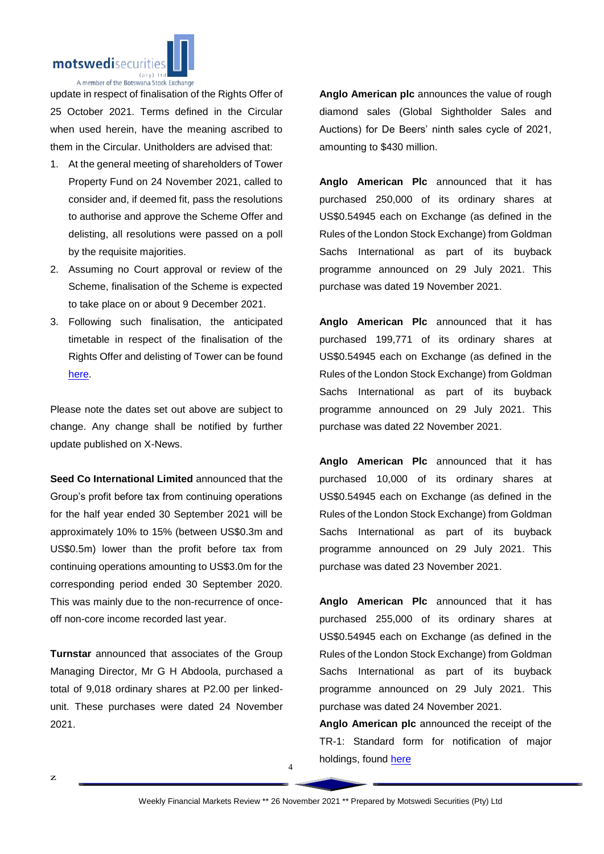

update in respect of finalisation of the Rights Offer of 25 October 2021. Terms defined in the Circular when used herein, have the meaning ascribed to them in the Circular. Unitholders are advised that:

- 1. At the general meeting of shareholders of Tower Property Fund on 24 November 2021, called to consider and, if deemed fit, pass the resolutions to authorise and approve the Scheme Offer and delisting, all resolutions were passed on a poll by the requisite majorities.
- 2. Assuming no Court approval or review of the Scheme, finalisation of the Scheme is expected to take place on or about 9 December 2021.
- 3. Following such finalisation, the anticipated timetable in respect of the finalisation of the Rights Offer and delisting of Tower can be found [here.](https://apis.bse.co.bw/storage/disclosures/11/2021/2562.pdf)

Please note the dates set out above are subject to change. Any change shall be notified by further update published on X-News.

**Seed Co International Limited** announced that the Group's profit before tax from continuing operations for the half year ended 30 September 2021 will be approximately 10% to 15% (between US\$0.3m and US\$0.5m) lower than the profit before tax from continuing operations amounting to US\$3.0m for the corresponding period ended 30 September 2020. This was mainly due to the non-recurrence of onceoff non-core income recorded last year.

**Turnstar** announced that associates of the Group Managing Director, Mr G H Abdoola, purchased a total of 9,018 ordinary shares at P2.00 per linkedunit. These purchases were dated 24 November 2021.

**Anglo American plc** announces the value of rough diamond sales (Global Sightholder Sales and Auctions) for De Beers' ninth sales cycle of 2021, amounting to \$430 million.

**Anglo American Plc** announced that it has purchased 250,000 of its ordinary shares at US\$0.54945 each on Exchange (as defined in the Rules of the London Stock Exchange) from Goldman Sachs International as part of its buyback programme announced on 29 July 2021. This purchase was dated 19 November 2021.

**Anglo American Plc** announced that it has purchased 199,771 of its ordinary shares at US\$0.54945 each on Exchange (as defined in the Rules of the London Stock Exchange) from Goldman Sachs International as part of its buyback programme announced on 29 July 2021. This purchase was dated 22 November 2021.

**Anglo American Plc** announced that it has purchased 10,000 of its ordinary shares at US\$0.54945 each on Exchange (as defined in the Rules of the London Stock Exchange) from Goldman Sachs International as part of its buyback programme announced on 29 July 2021. This purchase was dated 23 November 2021.

**Anglo American Plc** announced that it has purchased 255,000 of its ordinary shares at US\$0.54945 each on Exchange (as defined in the Rules of the London Stock Exchange) from Goldman Sachs International as part of its buyback programme announced on 29 July 2021. This purchase was dated 24 November 2021.

**Anglo American plc** announced the receipt of the TR-1: Standard form for notification of major holdings, found [here](https://apis.bse.co.bw/storage/disclosures/11/2021/2567.pdf)

4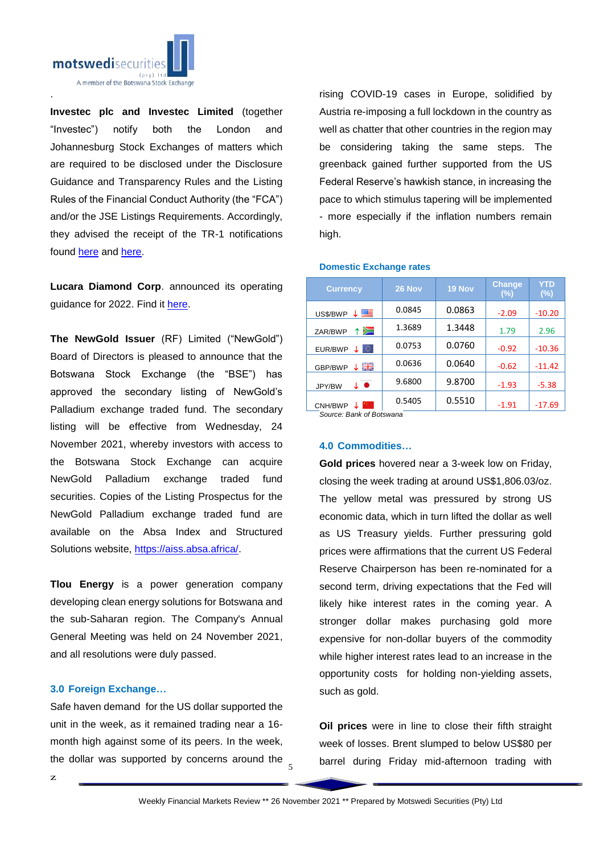

**Investec plc and Investec Limited** (together "Investec") notify both the London and Johannesburg Stock Exchanges of matters which are required to be disclosed under the Disclosure Guidance and Transparency Rules and the Listing Rules of the Financial Conduct Authority (the "FCA") and/or the JSE Listings Requirements. Accordingly, they advised the receipt of the TR-1 notifications found [here](https://apis.bse.co.bw/storage/disclosures/11/2021/2563.pdf) and [here.](https://apis.bse.co.bw/storage/disclosures/11/2021/2570.pdf)

**Lucara Diamond Corp**. announced its operating guidance for 2022. Find it [here.](https://apis.bse.co.bw/storage/disclosures/11/2021/2561.pdf)

**The NewGold Issuer** (RF) Limited ("NewGold") Board of Directors is pleased to announce that the Botswana Stock Exchange (the "BSE") has approved the secondary listing of NewGold's Palladium exchange traded fund. The secondary listing will be effective from Wednesday, 24 November 2021, whereby investors with access to the Botswana Stock Exchange can acquire NewGold Palladium exchange traded fund securities. Copies of the Listing Prospectus for the NewGold Palladium exchange traded fund are available on the Absa Index and Structured Solutions website, [https://aiss.absa.africa/.](https://aiss.absa.africa/)

**Tlou Energy** is a power generation company developing clean energy solutions for Botswana and the sub-Saharan region. The Company's Annual General Meeting was held on 24 November 2021, and all resolutions were duly passed.

# **3.0 Foreign Exchange…**

the dollar was supported by concerns around the  $\frac{1}{5}$ Safe haven demand for the US dollar supported the unit in the week, as it remained trading near a 16 month high against some of its peers. In the week,

rising COVID-19 cases in Europe, solidified by Austria re-imposing a full lockdown in the country as well as chatter that other countries in the region may be considering taking the same steps. The greenback gained further supported from the US Federal Reserve's hawkish stance, in increasing the pace to which stimulus tapering will be implemented - more especially if the inflation numbers remain high.

| <b>Currency</b>                     | 26 Nov | 19 Nov | <b>Change</b><br>$(\%)$ | YTD<br>$(\%)$ |
|-------------------------------------|--------|--------|-------------------------|---------------|
| 四目<br>US\$/BWP                      | 0.0845 | 0.0863 | $-2.09$                 | $-10.20$      |
| ⋝⊒<br>ZAR/BWP<br>Υ.                 | 1.3689 | 1.3448 | 1.79                    | 2.96          |
| 0<br>EUR/BWP                        | 0.0753 | 0.0760 | $-0.92$                 | $-10.36$      |
| 픪푽<br>GBP/BWP                       | 0.0636 | 0.0640 | $-0.62$                 | $-11.42$      |
| $\downarrow$ $\bullet$<br>JPY/BW    | 9.6800 | 9.8700 | $-1.93$                 | $-5.38$       |
| CNH/BWP<br>Course Dank of Doloriana | 0.5405 | 0.5510 | $-1.91$                 | $-17.69$      |

### **Domestic Exchange rates**

*Source: Bank of Botswana*

#### **4.0 Commodities…**

**Gold prices** hovered near a 3-week low on Friday, closing the week trading at around US\$1,806.03/oz. The yellow metal was pressured by strong US economic data, which in turn lifted the dollar as well as US Treasury yields. Further pressuring gold prices were affirmations that the current US Federal Reserve Chairperson has been re-nominated for a second term, driving expectations that the Fed will likely hike interest rates in the coming year. A stronger dollar makes purchasing gold more expensive for non-dollar buyers of the commodity while higher interest rates lead to an increase in the opportunity costs for holding non-yielding assets, such as gold.

**Oil prices** were in line to close their fifth straight week of losses. Brent slumped to below US\$80 per barrel during Friday mid-afternoon trading with